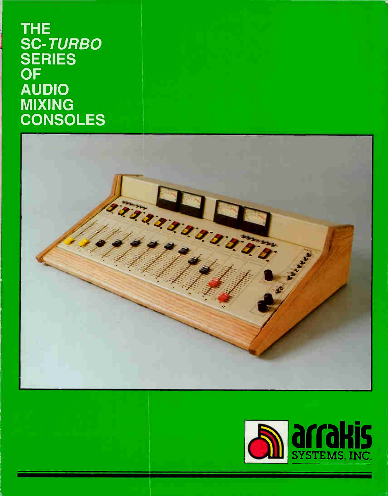# THE SC- TURBO **SERIES** OF AUDIO MIXING **CONSOLES**



![](_page_0_Picture_2.jpeg)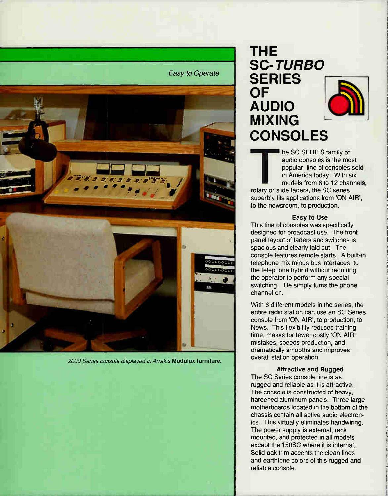![](_page_1_Picture_0.jpeg)

2000 Series console displayed in Arrakis Modulux furniture.

## THE SC-TURBO **SERIES** OF AUDIO MIXING **CONSOLES**

![](_page_1_Picture_3.jpeg)

he SC SERIES family of audio consoles is the most popular line of consoles sold in America today. With six models from 6 to 12 channels, rotary or slide faders, the SC series superbly fits applications from 'ON AIR', to the newsroom, to production.

### Easy to Use

This line of consoles was specifically designed for broadcast use. The front panel layout of faders and switches is spacious and clearly laid out. The console features remote starts. A built-in telephone mix minus bus interfaces to the telephone hybrid without requiring the operator to perform any special switching. He simply turns the phone channel on.

With 6 different models in the series, the entire radio station can use an SC Series console from 'ON AIR', to production, to News. This flexibility reduces training time, makes for fewer costly 'ON AIR' mistakes, speeds production, and dramatically smooths and improves overall station operation.

#### Attractive and Rugged

The SC Series console line is as rugged and reliable as it is attractive. The console is constructed of heavy, hardened aluminum panels. Three large motherboards located in the bottom of the chassis contain all active audio electronics. This virtually eliminates handwiring. The power supply is external, rack mounted, and protected in all models except the 150SC where it is internal. Solid oak trim accents the clean lines and earthtone colors of this rugged and reliable console.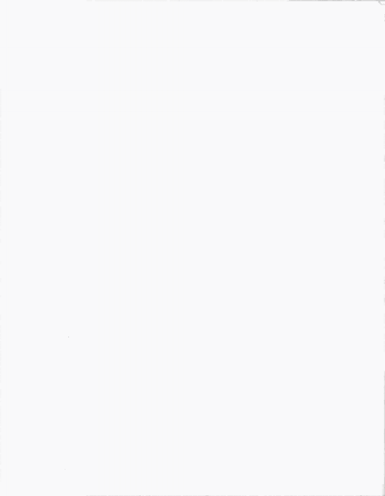![](_page_2_Picture_0.jpeg)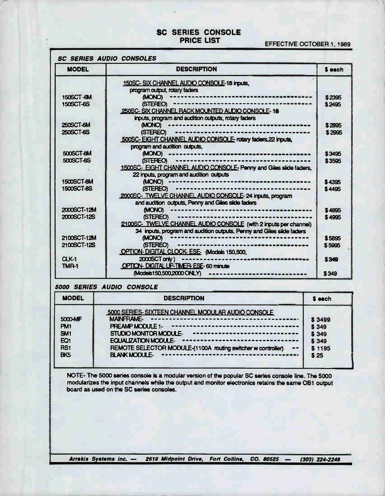# SC SERIES CONSOLE

 $\sim$   $\sim$ 

## **PRICE LIST EFFECTIVE OCTOBER 1, 1989**

|                                    | <b>DESCRIPTION</b>                                                                   | \$ each        |
|------------------------------------|--------------------------------------------------------------------------------------|----------------|
|                                    | 150SC-SIX CHANNEL AUDIO CONSOLE-18 inputs,                                           |                |
|                                    | program output, rotary faders                                                        |                |
| 150SCT-6M                          | <br>(MONO)                                                                           | \$2395         |
| <b>150SCT-6S</b>                   | (STEREO)                                                                             | \$2495         |
|                                    | 250SC-SIX CHANNEL RACK MOUNTED AUDIO CONSOLE-18                                      |                |
|                                    | inputs, program and audition outputs, rotary faders                                  |                |
| 250SCT-6M                          | ------------------------------------<br>(MONO)                                       | \$2895         |
| <b>250SCT-6S</b>                   | (STEREO)                                                                             | \$2995         |
|                                    | 500SC- EIGHT CHANNEL AUDIO CONSOLE- rotary faders, 22 inputs,                        |                |
|                                    | program and audition outputs,                                                        |                |
| 500SCT-8M                          |                                                                                      |                |
|                                    | (MONO)                                                                               | \$3495         |
| 500SCT-8S                          | (STEREO)                                                                             | \$3595         |
|                                    | 1500SC- EIGHT CHANNEL AUDIO CONSOLE- Penny and Giles slide faders.                   |                |
|                                    | 22 inputs, program and audition outputs                                              |                |
| 1500SCT-8M                         |                                                                                      | \$4395         |
| <b>1500SCT-8S</b>                  | (STEREO)                                                                             | \$4495         |
|                                    | 2000SC- TWELVE CHANNEL AUDIO CONSOLE-24 inputs, program                              |                |
|                                    | and audition outputs, Penny and Giles slide faders                                   |                |
| 2000SCT-12M                        | (MONO)                                                                               | \$4895         |
| 2000SCT-12S                        | (STEREO)                                                                             | \$4995         |
|                                    | 2100SC- TWELVE CHANNEL AUDIO CONSOLE (with 2 inputs per channel)                     |                |
|                                    | 34 inputs, program and audition outputs, Penny and Giles slide faders                |                |
| 2100SCT-12M                        | (MONO)                                                                               | \$5895         |
| 2100SCT-12S                        | ------------------<br>(STEREO)                                                       | \$5995         |
|                                    | OPTION-DIGITAL CLOCK ESE (Models 150,500,                                            |                |
| $CLK-1$                            | --------------------<br>2000SCT only)                                                | \$349          |
| <b>TMR-1</b>                       | OPTION- DIGITAL UP-TIMER-ESE-60 minute                                               |                |
|                                    | (Models150,500,2000 ONLY) -----------------------------                              | \$349          |
|                                    | 5000 SERIES AUDIO CONSOLE                                                            |                |
| <b>MODEL</b>                       | <b>DESCRIPTION</b>                                                                   | \$ each        |
|                                    | 5000 SERIES-SIXTEEN CHANNEL MODULAR AUDIO CONSOLE                                    |                |
| 5000-MF                            | <b>MAINFRAME</b>                                                                     | \$3499         |
| PM <sub>1</sub>                    | ----------------------------<br>PREAMP MODULE 1-                                     | \$349          |
|                                    | -------------------------------<br>STUDIO MONITOR MODULE-                            | \$ 349         |
|                                    | <b>EQUALIZATION MODULE-</b>                                                          | \$349          |
| SM <sub>1</sub><br>EQ <sub>1</sub> |                                                                                      |                |
| RS1                                |                                                                                      |                |
| BK <sub>5</sub>                    | REMOTE SELECTOR MODULE-(1100A routing switcher w controller)<br><b>BLANK MODULE-</b> | \$1195<br>\$25 |

Arrakis Systems inc. -- 2619 Midpoint Drive, Fort Collins, CO. 80525 — (303) 224-2248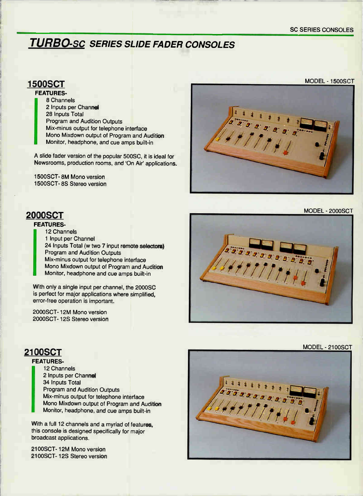## TURBO-sc SERIES SLIDE FADER CONSOLES

## **1500SCT**

FEATURES 8 Channels 2 Inputs per Channel 28 Inputs Total Program and Audition Outputs Mix-minus output for telephone interface Mono Mixdown output of Program and Audition Monitor, headphone, and cue amps built-in

A slide fader version of the popular 500SC, it is ideal for Newsrooms, production rooms, and 'On Air' applications.

1500SCT- 8M Mono version 1500SCT- 8S Stereo version

## 2000SCT

FEATURES-12 Channels 1 Input per Channel 24 Inputs Total (w two 7 input remote selectors) Program and Audition Outputs Mix-minus output for telephone interface Mono Mixdown output of Program and Audition Monitor, headphone and cue amps built-in

With only a single input per channel, the 2000SC is perfect for major applications where simplified, error-free operation is important.

2000SCT- 12M Mono version 2000SCT- 12S Stereo version

## 2100SCT

FEATURES

12 Channels 2 Inputs per Channel 34 Inputs Total Program and Audition Outputs Mix-minus output for telephone interface Mono Mixdown output of Program and Audition Monitor, headphone, and cue amps built-in

With a full 12 channels and a myriad of features, this console is designed specifically for major broadcast applications.

2100SCT- 12M Mono version 2100SCT- 12S Stereo version

![](_page_4_Picture_15.jpeg)

MODEL - 2100SCT

![](_page_4_Picture_17.jpeg)

MODEL - 1500SCT

![](_page_4_Picture_19.jpeg)

MODEL - 2000SCT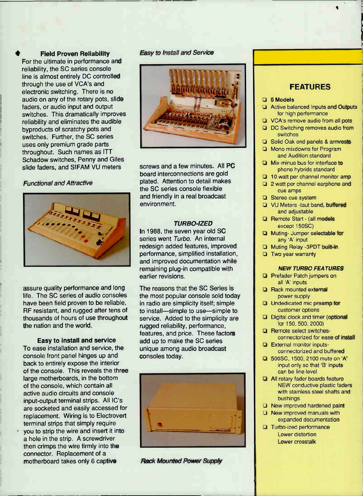#### Field Proven Reliability

For the ultimate in performance and reliability, the SC series console line is almost entirely DC controlled through the use of VCA's and electronic switching. There is no audio on any of the rotary pots, slide faders, or audio input and output switches. This dramatically improves reliability and eliminates the audible byproducts of scratchy pots and switches. Further, the SC series uses only premium grade parts throughout. Such names as ITT Schadow switches, Penny and Giles slide faders, and SIFAM VU meters

#### Functional and Attractive

![](_page_5_Picture_3.jpeg)

assure quality performance and long life. The SC series of audio consoles have been field proven to be reliable, RF resistant, and rugged after tens of thousands of hours of use throughout the nation and the world.

#### Easy to install and service

To ease installation and service, the console front panel hinges up and back to entirely expose the interior of the console. This reveals the three large motherboards, in the bottom of the console, which contain all active audio circuits and console input-output terminal strips. All IC's are socketed and easily accessed for replacement. Wiring is to Electrovert terminal strips that simply require you to strip the wire and insert it into a hole in the strip. A screwdriver then crimps the wire firmly into the connector. Replacement of a motherboard takes only 6 captive

#### Easy to Install and Service

![](_page_5_Picture_8.jpeg)

screws and a few minutes. All PC board interconnections are gold plated. Attention to detail makes the SC series console flexible and friendly in a real broadcast environment.

#### TURBO-IZED

In 1988, the seven year old SC series went Turbo. An internal redesign added features, improved performance, simplified installation, and improved documentation while remaining plug-in compatible with earlier revisions.

The reasons that the SC Series is the most popular console sold today in radio are simplicity itself; simple to install—simple to use—simple to service. Added to the simplicity are rugged reliability, performance, features, and price. These factors add up to make the SC series unique among audio broadcast consoles today.

![](_page_5_Picture_13.jpeg)

Rack Mounted Power Supply

### FEATURES

#### O 6 Models

- Li Active balanced Inputs and Outputs for high performance
- U VCA's remove audio from all pots O DC Switching removes audio from switches
- O Solid Oak end panels & armrests
- O Mono mixdowns for Program and Audition standard
- **D** Mix-minus bus for interface to phone hybrids standard
- CI 10 watt per channel monitor amp
- GI 2 watt per channel earphone and cue amps
- **Q** Stereo cue system
- O VU Meters -taut band, buffered and adjustable
- GI Remote Start (all models except 150SC)
- O Muting- Jumper selectable for any 'A' input
- O Muting Relay -3PDT built-in
- $\Box$  Two year warranty

#### NEW TURBO FEATURES

- **Q** Prefader Patch jumpers on all 'A' inputs
- **Q** Rack mounted external power supply
- **Q** Undedicated mic preamp for customer options
- D Digital clock and timer (optional for 150, 500, 2000)
- **Q** Remote select switchesconnectorized for ease of install
- **D** External monitor inputsconnectorized and buffered
- **O** 500SC, 1500, 2100 mute on 'A' input only so that 'B' inputs can be line level
- O All rotary fader boards feature NEW conductive plastic faders with stainless steel shafts and bushings
- Q New improved hardened paint
- O New improved manuals with expanded documentation
- **Li** Turbo-ized performance Lower distortion Lower crosstalk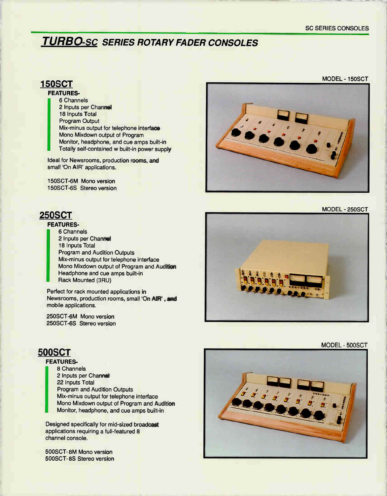## TURBO-sc SERIES ROTARY FADER CONSOLES

## 150SCT

FEATURES-

6 Channels 2 Inputs per Channel 18 Inputs Total Program Output Mix-minus output for telephone interface Mono Mixdown output of Program Monitor, headphone, and cue amps built-in Totally self-contained w built-in power supply

Ideal for Newsrooms, production rooms, and small 'On AIR' applications.

150SCT-6M Mono version 150SCT-6S Stereo version

## 250SCT

FEATURES-6 Channels 2 Inputs per Channel 18 Inputs Total Program and Audition Outputs Mix-minus output for telephone interface Mono Mixdown output of Program and Audition Headphone and cue amps built-in Rack Mounted (3RU)

Perfect for rack mounted applications in Newsrooms, production rooms, small 'On AIR' , and mobile applications.

250SCT-6M Mono version 250SCT-6S Stereo version

## 500SCT

### FEATURES

8 Channels 2 Inputs per Channel 22 Inputs Total Program and Audition Outputs Mix-minus output for telephone interface Mono Mixdown output of Program and Audition Monitor, headphone, and cue amps built-in

Designed specifically for mid-sized broadcast applications requiring a full-featured 8 channel console.

500SCT-8M Mono version 500SCT-8S Stereo version

![](_page_6_Picture_16.jpeg)

MODEL - 500SCT

![](_page_6_Picture_18.jpeg)

MODEL - 150SCT

![](_page_6_Picture_20.jpeg)

MODEL - 250SCT